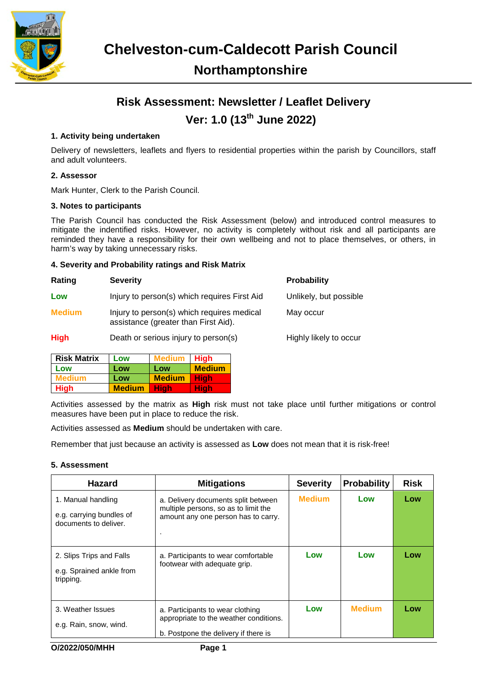

# **Risk Assessment: Newsletter / Leaflet Delivery Ver: 1.0 (13th June 2022)**

## **1. Activity being undertaken**

Delivery of newsletters, leaflets and flyers to residential properties within the parish by Councillors, staff and adult volunteers.

### **2. Assessor**

Mark Hunter, Clerk to the Parish Council.

#### **3. Notes to participants**

The Parish Council has conducted the Risk Assessment (below) and introduced control measures to mitigate the indentified risks. However, no activity is completely without risk and all participants are reminded they have a responsibility for their own wellbeing and not to place themselves, or others, in harm's way by taking unnecessary risks.

#### **4. Severity and Probability ratings and Risk Matrix**

| Rating        | <b>Severity</b>                                                                    | <b>Probability</b>     |
|---------------|------------------------------------------------------------------------------------|------------------------|
| Low           | Injury to person(s) which requires First Aid                                       | Unlikely, but possible |
| <b>Medium</b> | Injury to person(s) which requires medical<br>assistance (greater than First Aid). | May occur              |
| <b>High</b>   | Death or serious injury to person(s)                                               | Highly likely to occur |

| <b>Risk Matrix</b> | Low           | Medium        | <b>High</b>   |
|--------------------|---------------|---------------|---------------|
| Low                | Low           | Low           | <b>Medium</b> |
| Medium             | Low           | <b>Medium</b> | Hiah          |
| <b>High</b>        | <b>Medium</b> | Hiah          | Hiah          |

Activities assessed by the matrix as **High** risk must not take place until further mitigations or control measures have been put in place to reduce the risk.

Activities assessed as **Medium** should be undertaken with care.

Remember that just because an activity is assessed as **Low** does not mean that it is risk-free!

#### **5. Assessment**

| <b>Hazard</b>                                                           | <b>Mitigations</b>                                                                                                 | <b>Severity</b> | <b>Probability</b> | <b>Risk</b> |
|-------------------------------------------------------------------------|--------------------------------------------------------------------------------------------------------------------|-----------------|--------------------|-------------|
| 1. Manual handling<br>e.g. carrying bundles of<br>documents to deliver. | a. Delivery documents split between<br>multiple persons, so as to limit the<br>amount any one person has to carry. | <b>Medium</b>   | Low                | Low         |
| 2. Slips Trips and Falls<br>e.g. Sprained ankle from<br>tripping.       | a. Participants to wear comfortable<br>footwear with adequate grip.                                                | Low             | Low                | Low         |
| 3. Weather Issues<br>e.g. Rain, snow, wind.                             | a. Participants to wear clothing<br>appropriate to the weather conditions.<br>b. Postpone the delivery if there is | Low             | <b>Medium</b>      | Low         |